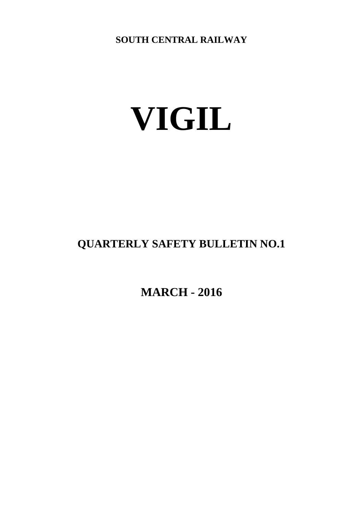**SOUTH CENTRAL RAILWAY**

# **VIGIL**

# **QUARTERLY SAFETY BULLETIN NO.1**

**MARCH - 2016**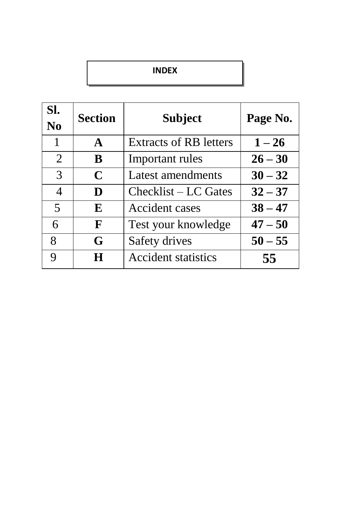#### **INDEX**

| SI.<br>N <sub>0</sub> | <b>Section</b> | Subject                       | Page No.  |
|-----------------------|----------------|-------------------------------|-----------|
| 1                     | $\mathbf{A}$   | <b>Extracts of RB letters</b> | $1 - 26$  |
| 2                     | B              | Important rules               | $26 - 30$ |
| 3                     | $\mathbf C$    | Latest amendments             | $30 - 32$ |
| 4                     | D              | Checklist – LC Gates          | $32 - 37$ |
| 5                     | E              | Accident cases                | $38 - 47$ |
| 6                     | $\mathbf{F}$   | Test your knowledge           | $47 - 50$ |
| 8                     | G              | Safety drives                 | $50 - 55$ |
| Q                     | H              | <b>Accident statistics</b>    | 55        |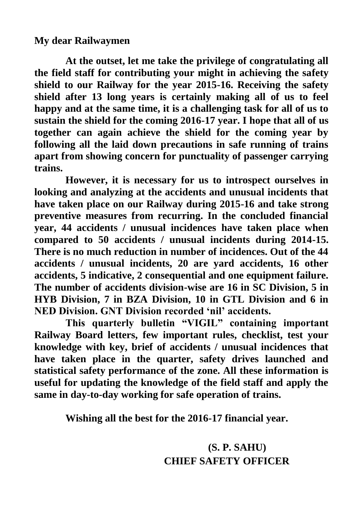#### **My dear Railwaymen**

**At the outset, let me take the privilege of congratulating all the field staff for contributing your might in achieving the safety shield to our Railway for the year 2015-16. Receiving the safety shield after 13 long years is certainly making all of us to feel happy and at the same time, it is a challenging task for all of us to sustain the shield for the coming 2016-17 year. I hope that all of us together can again achieve the shield for the coming year by following all the laid down precautions in safe running of trains apart from showing concern for punctuality of passenger carrying trains.**

**However, it is necessary for us to introspect ourselves in looking and analyzing at the accidents and unusual incidents that have taken place on our Railway during 2015-16 and take strong preventive measures from recurring. In the concluded financial year, 44 accidents / unusual incidences have taken place when compared to 50 accidents / unusual incidents during 2014-15. There is no much reduction in number of incidences. Out of the 44 accidents / unusual incidents, 20 are yard accidents, 16 other accidents, 5 indicative, 2 consequential and one equipment failure. The number of accidents division-wise are 16 in SC Division, 5 in HYB Division, 7 in BZA Division, 10 in GTL Division and 6 in NED Division. GNT Division recorded 'nil' accidents.**

**This quarterly bulletin "VIGIL" containing important Railway Board letters, few important rules, checklist, test your knowledge with key, brief of accidents / unusual incidences that have taken place in the quarter, safety drives launched and statistical safety performance of the zone. All these information is useful for updating the knowledge of the field staff and apply the same in day-to-day working for safe operation of trains.**

**Wishing all the best for the 2016-17 financial year.**

# **(S. P. SAHU) CHIEF SAFETY OFFICER**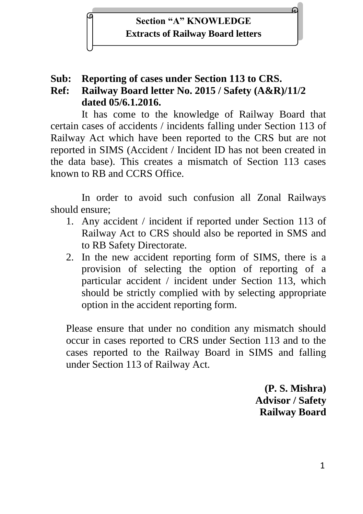

## **Sub: Reporting of cases under Section 113 to CRS.**

# **Ref: Railway Board letter No. 2015 / Safety (A&R)/11/2 dated 05/6.1.2016.**

It has come to the knowledge of Railway Board that certain cases of accidents / incidents falling under Section 113 of Railway Act which have been reported to the CRS but are not reported in SIMS (Accident / Incident ID has not been created in the data base). This creates a mismatch of Section 113 cases known to RB and CCRS Office.

In order to avoid such confusion all Zonal Railways should ensure;

- 1. Any accident / incident if reported under Section 113 of Railway Act to CRS should also be reported in SMS and to RB Safety Directorate.
- 2. In the new accident reporting form of SIMS, there is a provision of selecting the option of reporting of a particular accident / incident under Section 113, which should be strictly complied with by selecting appropriate option in the accident reporting form.

Please ensure that under no condition any mismatch should occur in cases reported to CRS under Section 113 and to the cases reported to the Railway Board in SIMS and falling under Section 113 of Railway Act.

> **(P. S. Mishra) Advisor / Safety Railway Board**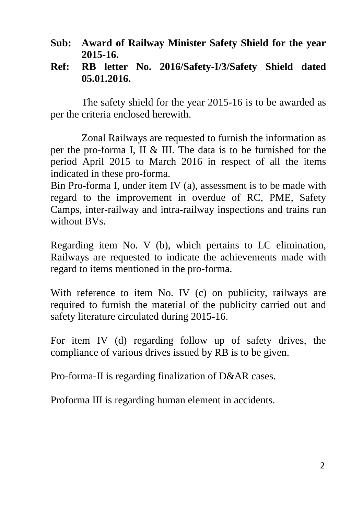- **Sub: Award of Railway Minister Safety Shield for the year 2015-16.**
- **Ref: RB letter No. 2016/Safety-I/3/Safety Shield dated 05.01.2016.**

The safety shield for the year 2015-16 is to be awarded as per the criteria enclosed herewith.

Zonal Railways are requested to furnish the information as per the pro-forma I, II & III. The data is to be furnished for the period April 2015 to March 2016 in respect of all the items indicated in these pro-forma.

Bin Pro-forma I, under item IV (a), assessment is to be made with regard to the improvement in overdue of RC, PME, Safety Camps, inter-railway and intra-railway inspections and trains run without BVs.

Regarding item No. V (b), which pertains to LC elimination, Railways are requested to indicate the achievements made with regard to items mentioned in the pro-forma.

With reference to item No. IV (c) on publicity, railways are required to furnish the material of the publicity carried out and safety literature circulated during 2015-16.

For item IV (d) regarding follow up of safety drives, the compliance of various drives issued by RB is to be given.

Pro-forma-II is regarding finalization of D&AR cases.

Proforma III is regarding human element in accidents.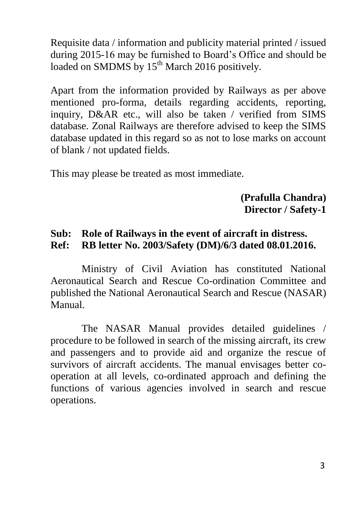Requisite data / information and publicity material printed / issued during 2015-16 may be furnished to Board's Office and should be loaded on SMDMS by  $15^{th}$  March 2016 positively.

Apart from the information provided by Railways as per above mentioned pro-forma, details regarding accidents, reporting, inquiry, D&AR etc., will also be taken / verified from SIMS database. Zonal Railways are therefore advised to keep the SIMS database updated in this regard so as not to lose marks on account of blank / not updated fields.

This may please be treated as most immediate.

#### **(Prafulla Chandra) Director / Safety-1**

### **Sub: Role of Railways in the event of aircraft in distress. Ref: RB letter No. 2003/Safety (DM)/6/3 dated 08.01.2016.**

Ministry of Civil Aviation has constituted National Aeronautical Search and Rescue Co-ordination Committee and published the National Aeronautical Search and Rescue (NASAR) Manual.

The NASAR Manual provides detailed guidelines / procedure to be followed in search of the missing aircraft, its crew and passengers and to provide aid and organize the rescue of survivors of aircraft accidents. The manual envisages better cooperation at all levels, co-ordinated approach and defining the functions of various agencies involved in search and rescue operations.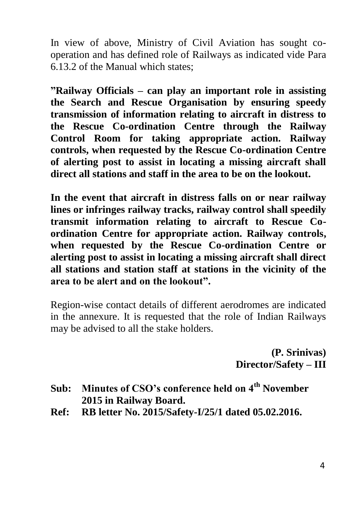In view of above, Ministry of Civil Aviation has sought cooperation and has defined role of Railways as indicated vide Para 6.13.2 of the Manual which states;

**"Railway Officials – can play an important role in assisting the Search and Rescue Organisation by ensuring speedy transmission of information relating to aircraft in distress to the Rescue Co-ordination Centre through the Railway Control Room for taking appropriate action. Railway controls, when requested by the Rescue Co-ordination Centre of alerting post to assist in locating a missing aircraft shall direct all stations and staff in the area to be on the lookout.**

**In the event that aircraft in distress falls on or near railway lines or infringes railway tracks, railway control shall speedily transmit information relating to aircraft to Rescue Coordination Centre for appropriate action. Railway controls, when requested by the Rescue Co-ordination Centre or alerting post to assist in locating a missing aircraft shall direct all stations and station staff at stations in the vicinity of the area to be alert and on the lookout".**

Region-wise contact details of different aerodromes are indicated in the annexure. It is requested that the role of Indian Railways may be advised to all the stake holders.

> **(P. Srinivas) Director/Safety – III**

- **Sub: Minutes of CSO's conference held on 4th November 2015 in Railway Board.**
- **Ref: RB letter No. 2015/Safety-I/25/1 dated 05.02.2016.**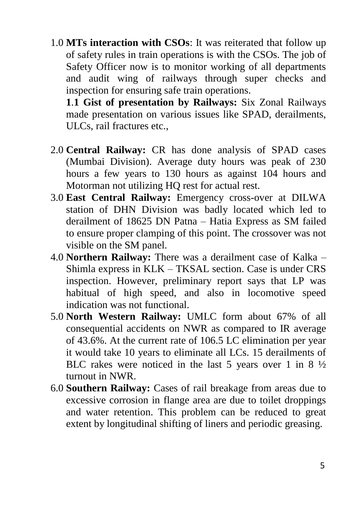1.0 **MTs interaction with CSOs**: It was reiterated that follow up of safety rules in train operations is with the CSOs. The job of Safety Officer now is to monitor working of all departments and audit wing of railways through super checks and inspection for ensuring safe train operations.

**1**.**1 Gist of presentation by Railways:** Six Zonal Railways made presentation on various issues like SPAD, derailments, ULCs, rail fractures etc.,

- 2.0 **Central Railway:** CR has done analysis of SPAD cases (Mumbai Division). Average duty hours was peak of 230 hours a few years to 130 hours as against 104 hours and Motorman not utilizing HQ rest for actual rest.
- 3.0 **East Central Railway:** Emergency cross-over at DILWA station of DHN Division was badly located which led to derailment of 18625 DN Patna – Hatia Express as SM failed to ensure proper clamping of this point. The crossover was not visible on the SM panel.
- 4.0 **Northern Railway:** There was a derailment case of Kalka Shimla express in KLK – TKSAL section. Case is under CRS inspection. However, preliminary report says that LP was habitual of high speed, and also in locomotive speed indication was not functional.
- 5.0 **North Western Railway:** UMLC form about 67% of all consequential accidents on NWR as compared to IR average of 43.6%. At the current rate of 106.5 LC elimination per year it would take 10 years to eliminate all LCs. 15 derailments of BLC rakes were noticed in the last 5 years over 1 in 8 ½ turnout in NWR.
- 6.0 **Southern Railway:** Cases of rail breakage from areas due to excessive corrosion in flange area are due to toilet droppings and water retention. This problem can be reduced to great extent by longitudinal shifting of liners and periodic greasing.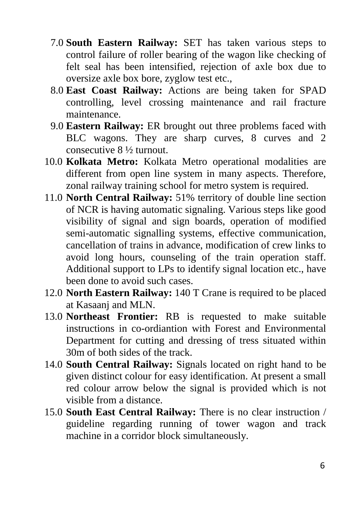- 7.0 **South Eastern Railway:** SET has taken various steps to control failure of roller bearing of the wagon like checking of felt seal has been intensified, rejection of axle box due to oversize axle box bore, zyglow test etc.,
- 8.0 **East Coast Railway:** Actions are being taken for SPAD controlling, level crossing maintenance and rail fracture maintenance.
- 9.0 **Eastern Railway:** ER brought out three problems faced with BLC wagons. They are sharp curves, 8 curves and 2 consecutive 8 ½ turnout.
- 10.0 **Kolkata Metro:** Kolkata Metro operational modalities are different from open line system in many aspects. Therefore, zonal railway training school for metro system is required.
- 11.0 **North Central Railway:** 51% territory of double line section of NCR is having automatic signaling. Various steps like good visibility of signal and sign boards, operation of modified semi-automatic signalling systems, effective communication, cancellation of trains in advance, modification of crew links to avoid long hours, counseling of the train operation staff. Additional support to LPs to identify signal location etc., have been done to avoid such cases.
- 12.0 **North Eastern Railway:** 140 T Crane is required to be placed at Kasaanj and MLN.
- 13.0 **Northeast Frontier:** RB is requested to make suitable instructions in co-ordiantion with Forest and Environmental Department for cutting and dressing of tress situated within 30m of both sides of the track.
- 14.0 **South Central Railway:** Signals located on right hand to be given distinct colour for easy identification. At present a small red colour arrow below the signal is provided which is not visible from a distance.
- 15.0 **South East Central Railway:** There is no clear instruction / guideline regarding running of tower wagon and track machine in a corridor block simultaneously.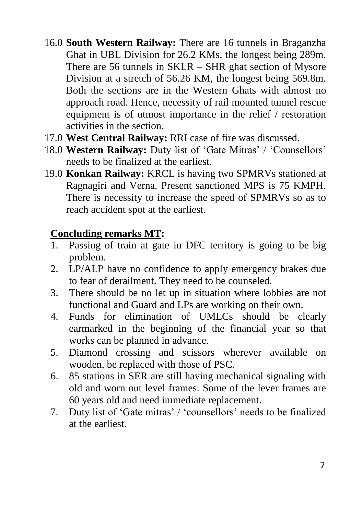- 16.0 **South Western Railway:** There are 16 tunnels in Braganzha Ghat in UBL Division for 26.2 KMs, the longest being 289m. There are 56 tunnels in SKLR – SHR ghat section of Mysore Division at a stretch of 56.26 KM, the longest being 569.8m. Both the sections are in the Western Ghats with almost no approach road. Hence, necessity of rail mounted tunnel rescue equipment is of utmost importance in the relief / restoration activities in the section.
- 17.0 **West Central Railway:** RRI case of fire was discussed.
- 18.0 **Western Railway:** Duty list of 'Gate Mitras' / 'Counsellors' needs to be finalized at the earliest.
- 19.0 **Konkan Railway:** KRCL is having two SPMRVs stationed at Ragnagiri and Verna. Present sanctioned MPS is 75 KMPH. There is necessity to increase the speed of SPMRVs so as to reach accident spot at the earliest.

# **Concluding remarks MT:**

- 1. Passing of train at gate in DFC territory is going to be big problem.
- 2. LP/ALP have no confidence to apply emergency brakes due to fear of derailment. They need to be counseled.
- 3. There should be no let up in situation where lobbies are not functional and Guard and LPs are working on their own.
- 4. Funds for elimination of UMLCs should be clearly earmarked in the beginning of the financial year so that works can be planned in advance.
- 5. Diamond crossing and scissors wherever available on wooden, be replaced with those of PSC.
- 6. 85 stations in SER are still having mechanical signaling with old and worn out level frames. Some of the lever frames are 60 years old and need immediate replacement.
- 7. Duty list of 'Gate mitras' / 'counsellors' needs to be finalized at the earliest.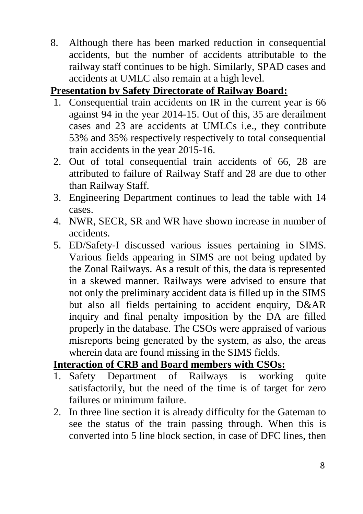8. Although there has been marked reduction in consequential accidents, but the number of accidents attributable to the railway staff continues to be high. Similarly, SPAD cases and accidents at UMLC also remain at a high level.

# **Presentation by Safety Directorate of Railway Board:**

- 1. Consequential train accidents on IR in the current year is 66 against 94 in the year 2014-15. Out of this, 35 are derailment cases and 23 are accidents at UMLCs i.e., they contribute 53% and 35% respectively respectively to total consequential train accidents in the year 2015-16.
- 2. Out of total consequential train accidents of 66, 28 are attributed to failure of Railway Staff and 28 are due to other than Railway Staff.
- 3. Engineering Department continues to lead the table with 14 cases.
- 4. NWR, SECR, SR and WR have shown increase in number of accidents.
- 5. ED/Safety-I discussed various issues pertaining in SIMS. Various fields appearing in SIMS are not being updated by the Zonal Railways. As a result of this, the data is represented in a skewed manner. Railways were advised to ensure that not only the preliminary accident data is filled up in the SIMS but also all fields pertaining to accident enquiry, D&AR inquiry and final penalty imposition by the DA are filled properly in the database. The CSOs were appraised of various misreports being generated by the system, as also, the areas wherein data are found missing in the SIMS fields.

## **Interaction of CRB and Board members with CSOs:**

- 1. Safety Department of Railways is working quite satisfactorily, but the need of the time is of target for zero failures or minimum failure.
- 2. In three line section it is already difficulty for the Gateman to see the status of the train passing through. When this is converted into 5 line block section, in case of DFC lines, then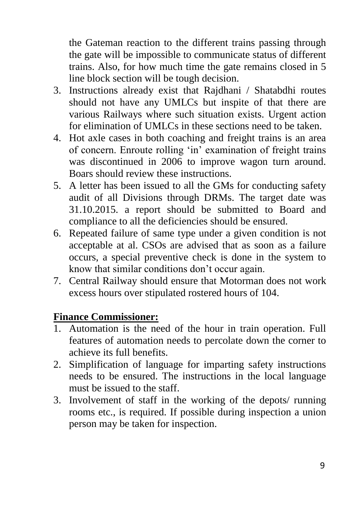the Gateman reaction to the different trains passing through the gate will be impossible to communicate status of different trains. Also, for how much time the gate remains closed in 5 line block section will be tough decision.

- 3. Instructions already exist that Rajdhani / Shatabdhi routes should not have any UMLCs but inspite of that there are various Railways where such situation exists. Urgent action for elimination of UMLCs in these sections need to be taken.
- 4. Hot axle cases in both coaching and freight trains is an area of concern. Enroute rolling 'in' examination of freight trains was discontinued in 2006 to improve wagon turn around. Boars should review these instructions.
- 5. A letter has been issued to all the GMs for conducting safety audit of all Divisions through DRMs. The target date was 31.10.2015. a report should be submitted to Board and compliance to all the deficiencies should be ensured.
- 6. Repeated failure of same type under a given condition is not acceptable at al. CSOs are advised that as soon as a failure occurs, a special preventive check is done in the system to know that similar conditions don't occur again.
- 7. Central Railway should ensure that Motorman does not work excess hours over stipulated rostered hours of 104.

#### **Finance Commissioner:**

- 1. Automation is the need of the hour in train operation. Full features of automation needs to percolate down the corner to achieve its full benefits.
- 2. Simplification of language for imparting safety instructions needs to be ensured. The instructions in the local language must be issued to the staff.
- 3. Involvement of staff in the working of the depots/ running rooms etc., is required. If possible during inspection a union person may be taken for inspection.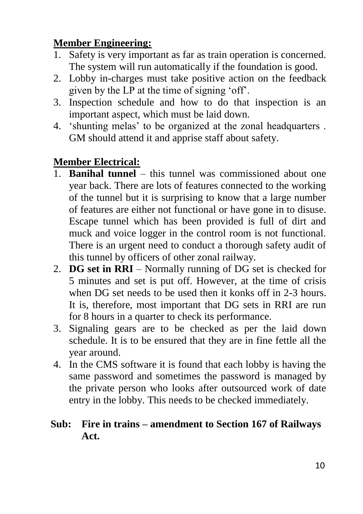# **Member Engineering:**

- 1. Safety is very important as far as train operation is concerned. The system will run automatically if the foundation is good.
- 2. Lobby in-charges must take positive action on the feedback given by the LP at the time of signing 'off'.
- 3. Inspection schedule and how to do that inspection is an important aspect, which must be laid down.
- 4. 'shunting melas' to be organized at the zonal headquarters . GM should attend it and apprise staff about safety.

# **Member Electrical:**

- 1. **Banihal tunnel** this tunnel was commissioned about one year back. There are lots of features connected to the working of the tunnel but it is surprising to know that a large number of features are either not functional or have gone in to disuse. Escape tunnel which has been provided is full of dirt and muck and voice logger in the control room is not functional. There is an urgent need to conduct a thorough safety audit of this tunnel by officers of other zonal railway.
- 2. **DG set in RRI** Normally running of DG set is checked for 5 minutes and set is put off. However, at the time of crisis when DG set needs to be used then it konks off in 2-3 hours. It is, therefore, most important that DG sets in RRI are run for 8 hours in a quarter to check its performance.
- 3. Signaling gears are to be checked as per the laid down schedule. It is to be ensured that they are in fine fettle all the year around.
- 4. In the CMS software it is found that each lobby is having the same password and sometimes the password is managed by the private person who looks after outsourced work of date entry in the lobby. This needs to be checked immediately.

# **Sub: Fire in trains – amendment to Section 167 of Railways Act.**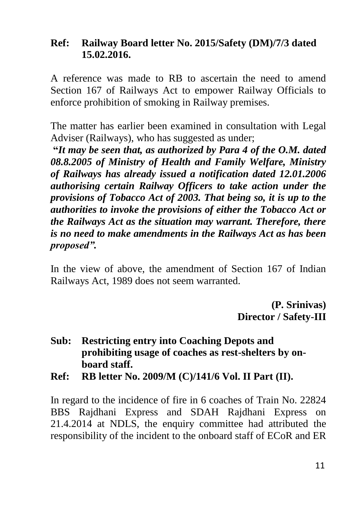#### **Ref: Railway Board letter No. 2015/Safety (DM)/7/3 dated 15.02.2016.**

A reference was made to RB to ascertain the need to amend Section 167 of Railways Act to empower Railway Officials to enforce prohibition of smoking in Railway premises.

The matter has earlier been examined in consultation with Legal Adviser (Railways), who has suggested as under;

**"***It may be seen that, as authorized by Para 4 of the O.M. dated 08.8.2005 of Ministry of Health and Family Welfare, Ministry of Railways has already issued a notification dated 12.01.2006 authorising certain Railway Officers to take action under the provisions of Tobacco Act of 2003. That being so, it is up to the authorities to invoke the provisions of either the Tobacco Act or the Railways Act as the situation may warrant. Therefore, there is no need to make amendments in the Railways Act as has been proposed".*

In the view of above, the amendment of Section 167 of Indian Railways Act, 1989 does not seem warranted.

> **(P. Srinivas) Director / Safety-III**

- **Sub: Restricting entry into Coaching Depots and prohibiting usage of coaches as rest-shelters by onboard staff.**
- **Ref: RB letter No. 2009/M (C)/141/6 Vol. II Part (II).**

In regard to the incidence of fire in 6 coaches of Train No. 22824 BBS Rajdhani Express and SDAH Rajdhani Express on 21.4.2014 at NDLS, the enquiry committee had attributed the responsibility of the incident to the onboard staff of ECoR and ER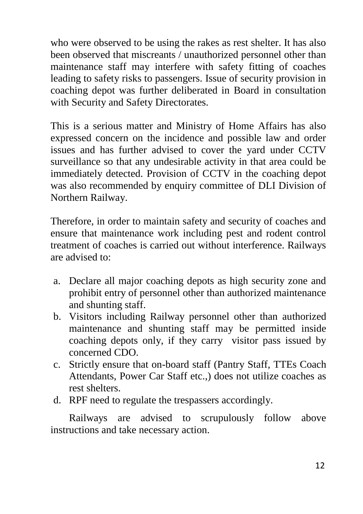who were observed to be using the rakes as rest shelter. It has also been observed that miscreants / unauthorized personnel other than maintenance staff may interfere with safety fitting of coaches leading to safety risks to passengers. Issue of security provision in coaching depot was further deliberated in Board in consultation with Security and Safety Directorates.

This is a serious matter and Ministry of Home Affairs has also expressed concern on the incidence and possible law and order issues and has further advised to cover the yard under CCTV surveillance so that any undesirable activity in that area could be immediately detected. Provision of CCTV in the coaching depot was also recommended by enquiry committee of DLI Division of Northern Railway.

Therefore, in order to maintain safety and security of coaches and ensure that maintenance work including pest and rodent control treatment of coaches is carried out without interference. Railways are advised to:

- a. Declare all major coaching depots as high security zone and prohibit entry of personnel other than authorized maintenance and shunting staff.
- b. Visitors including Railway personnel other than authorized maintenance and shunting staff may be permitted inside coaching depots only, if they carry visitor pass issued by concerned CDO.
- c. Strictly ensure that on-board staff (Pantry Staff, TTEs Coach Attendants, Power Car Staff etc.,) does not utilize coaches as rest shelters.
- d. RPF need to regulate the trespassers accordingly.

Railways are advised to scrupulously follow above instructions and take necessary action.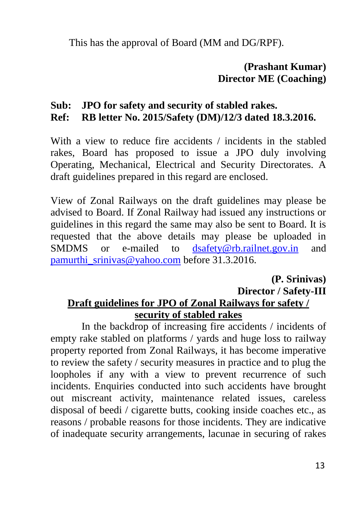This has the approval of Board (MM and DG/RPF).

## **(Prashant Kumar) Director ME (Coaching)**

#### **Sub: JPO for safety and security of stabled rakes. Ref: RB letter No. 2015/Safety (DM)/12/3 dated 18.3.2016.**

# With a view to reduce fire accidents / incidents in the stabled rakes, Board has proposed to issue a JPO duly involving Operating, Mechanical, Electrical and Security Directorates. A draft guidelines prepared in this regard are enclosed.

View of Zonal Railways on the draft guidelines may please be advised to Board. If Zonal Railway had issued any instructions or guidelines in this regard the same may also be sent to Board. It is requested that the above details may please be uploaded in SMDMS or e-mailed to [dsafety@rb.railnet.gov.in](mailto:dsafety@rb.railnet.gov.in) and [pamurthi\\_srinivas@yahoo.com](mailto:pamurthi_srinivas@yahoo.com) before 31.3.2016.

#### **(P. Srinivas) Director / Safety-III Draft guidelines for JPO of Zonal Railways for safety / security of stabled rakes**

In the backdrop of increasing fire accidents / incidents of empty rake stabled on platforms / yards and huge loss to railway property reported from Zonal Railways, it has become imperative to review the safety / security measures in practice and to plug the loopholes if any with a view to prevent recurrence of such incidents. Enquiries conducted into such accidents have brought out miscreant activity, maintenance related issues, careless disposal of beedi / cigarette butts, cooking inside coaches etc., as reasons / probable reasons for those incidents. They are indicative of inadequate security arrangements, lacunae in securing of rakes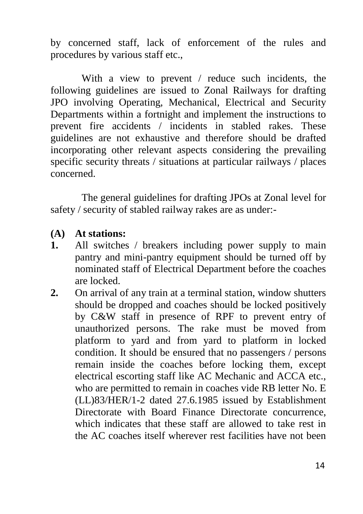by concerned staff, lack of enforcement of the rules and procedures by various staff etc.,

With a view to prevent / reduce such incidents, the following guidelines are issued to Zonal Railways for drafting JPO involving Operating, Mechanical, Electrical and Security Departments within a fortnight and implement the instructions to prevent fire accidents / incidents in stabled rakes. These guidelines are not exhaustive and therefore should be drafted incorporating other relevant aspects considering the prevailing specific security threats / situations at particular railways / places concerned.

The general guidelines for drafting JPOs at Zonal level for safety / security of stabled railway rakes are as under:-

#### **(A) At stations:**

- **1.** All switches / breakers including power supply to main pantry and mini-pantry equipment should be turned off by nominated staff of Electrical Department before the coaches are locked.
- **2.** On arrival of any train at a terminal station, window shutters should be dropped and coaches should be locked positively by C&W staff in presence of RPF to prevent entry of unauthorized persons. The rake must be moved from platform to yard and from yard to platform in locked condition. It should be ensured that no passengers / persons remain inside the coaches before locking them, except electrical escorting staff like AC Mechanic and ACCA etc., who are permitted to remain in coaches vide RB letter No. E (LL)83/HER/1-2 dated 27.6.1985 issued by Establishment Directorate with Board Finance Directorate concurrence, which indicates that these staff are allowed to take rest in the AC coaches itself wherever rest facilities have not been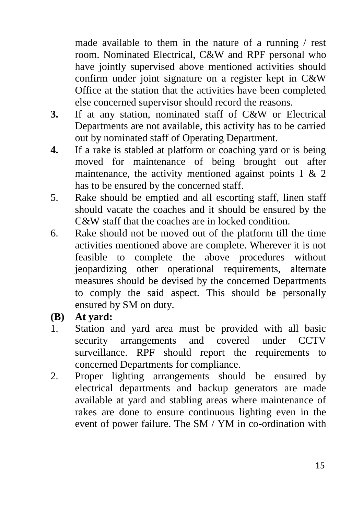made available to them in the nature of a running / rest room. Nominated Electrical, C&W and RPF personal who have jointly supervised above mentioned activities should confirm under joint signature on a register kept in C&W Office at the station that the activities have been completed else concerned supervisor should record the reasons.

- **3.** If at any station, nominated staff of C&W or Electrical Departments are not available, this activity has to be carried out by nominated staff of Operating Department.
- **4.** If a rake is stabled at platform or coaching yard or is being moved for maintenance of being brought out after maintenance, the activity mentioned against points  $1 \& 2$ has to be ensured by the concerned staff.
- 5. Rake should be emptied and all escorting staff, linen staff should vacate the coaches and it should be ensured by the C&W staff that the coaches are in locked condition.
- 6. Rake should not be moved out of the platform till the time activities mentioned above are complete. Wherever it is not feasible to complete the above procedures without jeopardizing other operational requirements, alternate measures should be devised by the concerned Departments to comply the said aspect. This should be personally ensured by SM on duty.
- **(B) At yard:**
- 1. Station and yard area must be provided with all basic security arrangements and covered under CCTV surveillance. RPF should report the requirements to concerned Departments for compliance.
- 2. Proper lighting arrangements should be ensured by electrical departments and backup generators are made available at yard and stabling areas where maintenance of rakes are done to ensure continuous lighting even in the event of power failure. The SM / YM in co-ordination with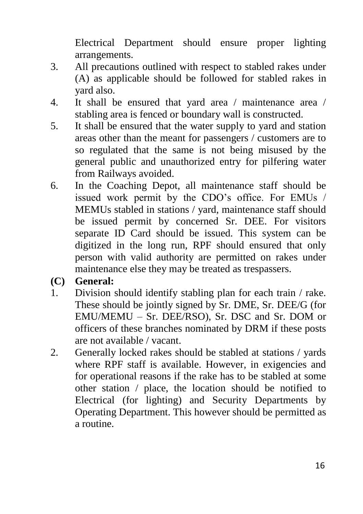Electrical Department should ensure proper lighting arrangements.

- 3. All precautions outlined with respect to stabled rakes under (A) as applicable should be followed for stabled rakes in yard also.
- 4. It shall be ensured that yard area / maintenance area / stabling area is fenced or boundary wall is constructed.
- 5. It shall be ensured that the water supply to yard and station areas other than the meant for passengers / customers are to so regulated that the same is not being misused by the general public and unauthorized entry for pilfering water from Railways avoided.
- 6. In the Coaching Depot, all maintenance staff should be issued work permit by the CDO's office. For EMUs / MEMUs stabled in stations / yard, maintenance staff should be issued permit by concerned Sr. DEE. For visitors separate ID Card should be issued. This system can be digitized in the long run, RPF should ensured that only person with valid authority are permitted on rakes under maintenance else they may be treated as trespassers.
- **(C) General:**
- 1. Division should identify stabling plan for each train / rake. These should be jointly signed by Sr. DME, Sr. DEE/G (for EMU/MEMU – Sr. DEE/RSO), Sr. DSC and Sr. DOM or officers of these branches nominated by DRM if these posts are not available / vacant.
- 2. Generally locked rakes should be stabled at stations / yards where RPF staff is available. However, in exigencies and for operational reasons if the rake has to be stabled at some other station / place, the location should be notified to Electrical (for lighting) and Security Departments by Operating Department. This however should be permitted as a routine.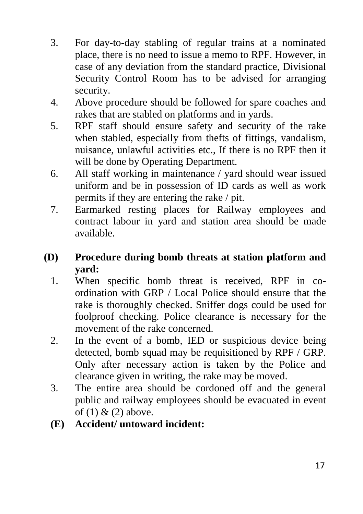- 3. For day-to-day stabling of regular trains at a nominated place, there is no need to issue a memo to RPF. However, in case of any deviation from the standard practice, Divisional Security Control Room has to be advised for arranging security.
- 4. Above procedure should be followed for spare coaches and rakes that are stabled on platforms and in yards.
- 5. RPF staff should ensure safety and security of the rake when stabled, especially from thefts of fittings, vandalism, nuisance, unlawful activities etc., If there is no RPF then it will be done by Operating Department.
- 6. All staff working in maintenance / yard should wear issued uniform and be in possession of ID cards as well as work permits if they are entering the rake / pit.
- 7. Earmarked resting places for Railway employees and contract labour in yard and station area should be made available.
- **(D) Procedure during bomb threats at station platform and yard:**
	- 1. When specific bomb threat is received, RPF in coordination with GRP / Local Police should ensure that the rake is thoroughly checked. Sniffer dogs could be used for foolproof checking. Police clearance is necessary for the movement of the rake concerned.
	- 2. In the event of a bomb, IED or suspicious device being detected, bomb squad may be requisitioned by RPF / GRP. Only after necessary action is taken by the Police and clearance given in writing, the rake may be moved.
	- 3. The entire area should be cordoned off and the general public and railway employees should be evacuated in event of  $(1)$  &  $(2)$  above.
	- **(E) Accident/ untoward incident:**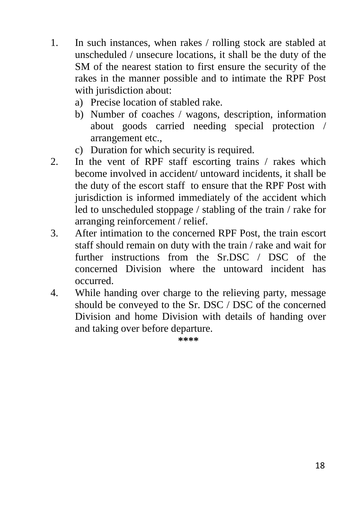- 1. In such instances, when rakes / rolling stock are stabled at unscheduled / unsecure locations, it shall be the duty of the SM of the nearest station to first ensure the security of the rakes in the manner possible and to intimate the RPF Post with jurisdiction about:
	- a) Precise location of stabled rake.
	- b) Number of coaches / wagons, description, information about goods carried needing special protection / arrangement etc.,
	- c) Duration for which security is required.
- 2. In the vent of RPF staff escorting trains / rakes which become involved in accident/ untoward incidents, it shall be the duty of the escort staff to ensure that the RPF Post with jurisdiction is informed immediately of the accident which led to unscheduled stoppage / stabling of the train / rake for arranging reinforcement / relief.
- 3. After intimation to the concerned RPF Post, the train escort staff should remain on duty with the train / rake and wait for further instructions from the Sr.DSC / DSC of the concerned Division where the untoward incident has occurred.
- 4. While handing over charge to the relieving party, message should be conveyed to the Sr. DSC / DSC of the concerned Division and home Division with details of handing over and taking over before departure.

**\*\*\*\***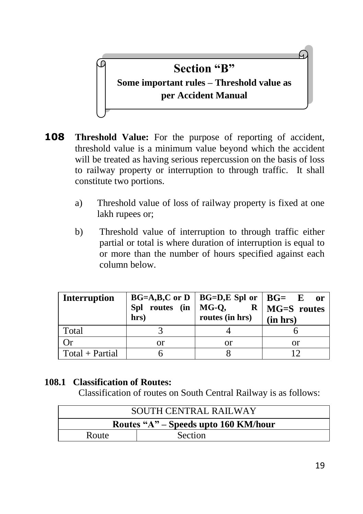

- **108 Threshold Value:** For the purpose of reporting of accident, threshold value is a minimum value beyond which the accident will be treated as having serious repercussion on the basis of loss to railway property or interruption to through traffic. It shall constitute two portions.
	- a) Threshold value of loss of railway property is fixed at one lakh rupees or;
	- b) Threshold value of interruption to through traffic either partial or total is where duration of interruption is equal to or more than the number of hours specified against each column below.

| <b>Interruption</b> | hrs) | $BG=A,B,C$ or D   BG=D,E Spl or   BG= E<br>Spl routes (in   MG-Q, $R$   MG=S routes<br>routes (in hrs) | - or<br>(in hrs) |
|---------------------|------|--------------------------------------------------------------------------------------------------------|------------------|
| Total               |      |                                                                                                        |                  |
| Оr                  | or   | or                                                                                                     | or               |
| $Total + Partial$   |      |                                                                                                        | 12               |

#### **108.1 Classification of Routes:**

Classification of routes on South Central Railway is as follows:

| SOUTH CENTRAL RAILWAY                |         |  |  |
|--------------------------------------|---------|--|--|
| Routes "A" – Speeds upto 160 KM/hour |         |  |  |
| Route                                | Section |  |  |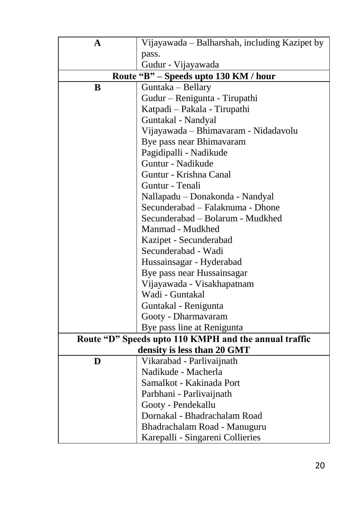| A | Vijayawada – Balharshah, including Kazipet by         |
|---|-------------------------------------------------------|
|   | pass.                                                 |
|   | Gudur - Vijayawada                                    |
|   | Route "B" - Speeds upto 130 KM / hour                 |
| B | Guntaka - Bellary                                     |
|   | Gudur - Renigunta - Tirupathi                         |
|   | Katpadi - Pakala - Tirupathi                          |
|   | Guntakal - Nandyal                                    |
|   | Vijayawada - Bhimavaram - Nidadavolu                  |
|   | Bye pass near Bhimavaram                              |
|   | Pagidipalli - Nadikude                                |
|   | Guntur - Nadikude                                     |
|   | Guntur - Krishna Canal                                |
|   | Guntur - Tenali                                       |
|   | Nallapadu - Donakonda - Nandyal                       |
|   | Secunderabad - Falaknuma - Dhone                      |
|   | Secunderabad - Bolarum - Mudkhed                      |
|   | Manmad - Mudkhed                                      |
|   | Kazipet - Secunderabad                                |
|   | Secunderabad - Wadi                                   |
|   | Hussainsagar - Hyderabad                              |
|   | Bye pass near Hussainsagar                            |
|   | Vijayawada - Visakhapatnam                            |
|   | Wadi - Guntakal                                       |
|   | Guntakal - Renigunta                                  |
|   | Gooty - Dharmavaram                                   |
|   | Bye pass line at Renigunta                            |
|   | Route "D" Speeds upto 110 KMPH and the annual traffic |
|   | density is less than 20 GMT                           |
| D | Vikarabad - Parlivaijnath                             |
|   | Nadikude - Macherla                                   |
|   | Samalkot - Kakinada Port                              |
|   | Parbhani - Parlivaijnath                              |
|   | Gooty - Pendekallu                                    |
|   | Dornakal - Bhadrachalam Road                          |
|   | Bhadrachalam Road - Manuguru                          |
|   | Karepalli - Singareni Collieries                      |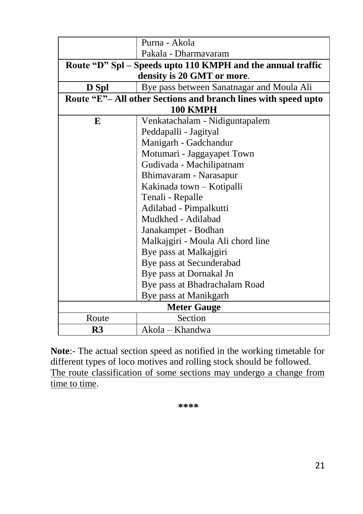|                        | Purna - Akola                                                 |  |  |  |  |
|------------------------|---------------------------------------------------------------|--|--|--|--|
|                        | Pakala - Dharmavaram                                          |  |  |  |  |
|                        | Route "D" Spl – Speeds upto 110 KMPH and the annual traffic   |  |  |  |  |
|                        | density is 20 GMT or more.                                    |  |  |  |  |
| D Spl                  | Bye pass between Sanatnagar and Moula Ali                     |  |  |  |  |
|                        | Route "E"-All other Sections and branch lines with speed upto |  |  |  |  |
|                        | 100 KMPH                                                      |  |  |  |  |
| E                      | Venkatachalam - Nidiguntapalem                                |  |  |  |  |
|                        | Peddapalli - Jagityal                                         |  |  |  |  |
|                        | Manigarh - Gadchandur                                         |  |  |  |  |
|                        | Motumari - Jaggayapet Town                                    |  |  |  |  |
|                        | Gudivada - Machilipatnam                                      |  |  |  |  |
|                        | Bhimavaram - Narasapur                                        |  |  |  |  |
|                        | Kakinada town - Kotipalli                                     |  |  |  |  |
|                        | Tenali - Repalle                                              |  |  |  |  |
| Adilabad - Pimpalkutti |                                                               |  |  |  |  |
| Mudkhed - Adilabad     |                                                               |  |  |  |  |
|                        | Janakampet - Bodhan                                           |  |  |  |  |
|                        | Malkajgiri - Moula Ali chord line                             |  |  |  |  |
|                        | Bye pass at Malkajgiri                                        |  |  |  |  |
|                        | Bye pass at Secunderabad                                      |  |  |  |  |
|                        | Bye pass at Dornakal Jn                                       |  |  |  |  |
|                        | Bye pass at Bhadrachalam Road                                 |  |  |  |  |
|                        | Bye pass at Manikgarh                                         |  |  |  |  |
| <b>Meter Gauge</b>     |                                                               |  |  |  |  |
| Route                  | Section                                                       |  |  |  |  |
| R3                     | Akola – Khandwa                                               |  |  |  |  |

**Note**:- The actual section speed as notified in the working timetable for different types of loco motives and rolling stock should be followed. The route classification of some sections may undergo a change from time to time.

**\*\*\*\***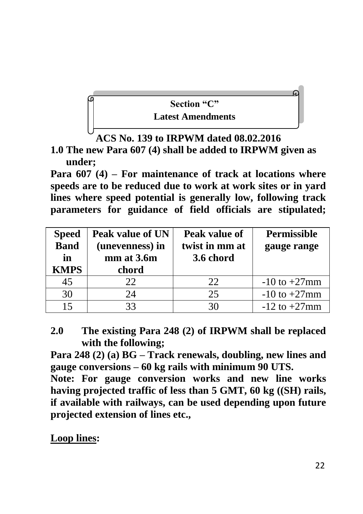

**ACS No. 139 to IRPWM dated 08.02.2016**

**1.0 The new Para 607 (4) shall be added to IRPWM given as under;**

**Para 607 (4) – For maintenance of track at locations where speeds are to be reduced due to work at work sites or in yard lines where speed potential is generally low, following track parameters for guidance of field officials are stipulated;**

| <b>Speed</b> | Peak value of UN | Peak value of  | <b>Permissible</b> |
|--------------|------------------|----------------|--------------------|
| <b>Band</b>  | (unevenness) in  | twist in mm at | gauge range        |
| in           | mm at 3.6m       | 3.6 chord      |                    |
| <b>KMPS</b>  | chord            |                |                    |
| 45           | 22               | 22             | $-10$ to $+27$ mm  |
| 30           | 24               | 25             | $-10$ to $+27$ mm  |
| 15           | 33               | 30             | $-12$ to $+27$ mm  |

**2.0 The existing Para 248 (2) of IRPWM shall be replaced with the following;**

**Para 248 (2) (a) BG – Track renewals, doubling, new lines and gauge conversions – 60 kg rails with minimum 90 UTS.**

**Note: For gauge conversion works and new line works having projected traffic of less than 5 GMT, 60 kg ((SH) rails, if available with railways, can be used depending upon future projected extension of lines etc.,**

**Loop lines:**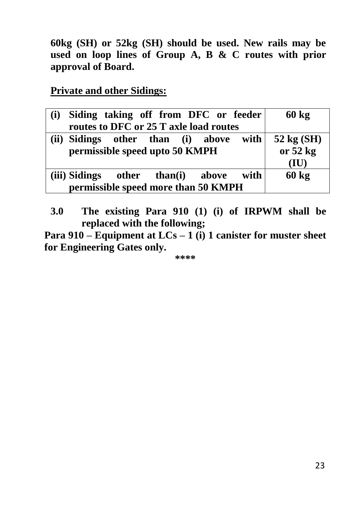**60kg (SH) or 52kg (SH) should be used. New rails may be used on loop lines of Group A, B & C routes with prior approval of Board.**

**Private and other Sidings:**

| (i) | Siding taking off from DFC or feeder   |  |      | $60 \text{ kg}$ |
|-----|----------------------------------------|--|------|-----------------|
|     | routes to DFC or 25 T axle load routes |  |      |                 |
|     | (ii) Sidings other than (i) above with |  |      | 52 kg (SH)      |
|     | permissible speed upto 50 KMPH         |  |      | or $52$ kg      |
|     |                                        |  |      | (IU)            |
|     | (iii) Sidings other than(i) above      |  | with | $60 \text{ kg}$ |
|     | permissible speed more than 50 KMPH    |  |      |                 |

**3.0 The existing Para 910 (1) (i) of IRPWM shall be replaced with the following;** 

**Para 910 – Equipment at LCs – 1 (i) 1 canister for muster sheet for Engineering Gates only.**

**\*\*\*\***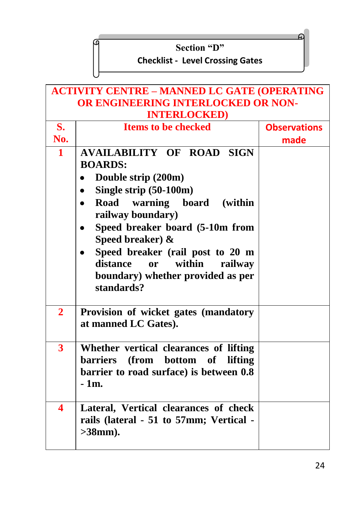#### **Section "D"**

# **Checklist - Level Crossing Gates**

 $\epsilon$ 

| <b>ACTIVITY CENTRE - MANNED LC GATE (OPERATING</b><br>OR ENGINEERING INTERLOCKED OR NON-<br><b>INTERLOCKED</b> |                                                                                                                                                                                                                                                                                                                                                                                 |                     |  |  |
|----------------------------------------------------------------------------------------------------------------|---------------------------------------------------------------------------------------------------------------------------------------------------------------------------------------------------------------------------------------------------------------------------------------------------------------------------------------------------------------------------------|---------------------|--|--|
| S.                                                                                                             | <b>Items to be checked</b>                                                                                                                                                                                                                                                                                                                                                      | <b>Observations</b> |  |  |
| No.                                                                                                            |                                                                                                                                                                                                                                                                                                                                                                                 | made                |  |  |
| $\mathbf{1}$                                                                                                   | <b>AVAILABILITY OF ROAD SIGN</b><br><b>BOARDS:</b><br>Double strip (200m)<br>٠<br>Single strip (50-100m)<br>٠<br>Road warning board (within<br>$\bullet$<br>railway boundary)<br>Speed breaker board (5-10m from<br>$\bullet$<br>Speed breaker) &<br>Speed breaker (rail post to 20 m<br>distance<br>within<br>or<br>railway<br>boundary) whether provided as per<br>standards? |                     |  |  |
| $\overline{2}$                                                                                                 | Provision of wicket gates (mandatory<br>at manned LC Gates).                                                                                                                                                                                                                                                                                                                    |                     |  |  |
| $\overline{\mathbf{3}}$                                                                                        | Whether vertical clearances of lifting<br>barriers (from bottom of<br>lifting<br>barrier to road surface) is between 0.8<br>$-1m.$                                                                                                                                                                                                                                              |                     |  |  |
| 4                                                                                                              | Lateral, Vertical clearances of check<br>rails (lateral - 51 to 57mm; Vertical -<br>$>38$ mm).                                                                                                                                                                                                                                                                                  |                     |  |  |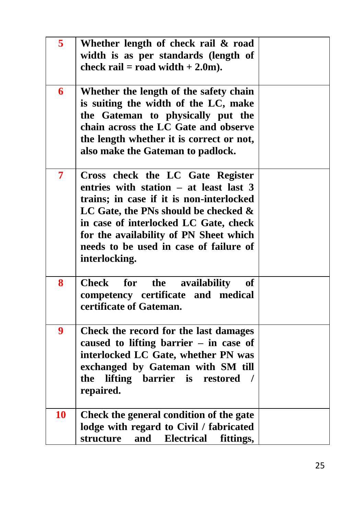| 5              | Whether length of check rail & road<br>width is as per standards (length of<br>check rail = road width + $2.0$ m).                                                                                                                                                                                              |  |
|----------------|-----------------------------------------------------------------------------------------------------------------------------------------------------------------------------------------------------------------------------------------------------------------------------------------------------------------|--|
| 6              | Whether the length of the safety chain<br>is suiting the width of the LC, make<br>the Gateman to physically put the<br>chain across the LC Gate and observe<br>the length whether it is correct or not,<br>also make the Gateman to padlock.                                                                    |  |
| $\overline{7}$ | Cross check the LC Gate Register<br>entries with station - at least last 3<br>trains; in case if it is non-interlocked<br>LC Gate, the PNs should be checked $\&$<br>in case of interlocked LC Gate, check<br>for the availability of PN Sheet which<br>needs to be used in case of failure of<br>interlocking. |  |
| 8              | <b>Check</b><br>for<br>the<br>availability<br><b>of</b><br>competency certificate and medical<br>certificate of Gateman.                                                                                                                                                                                        |  |
| 9              | Check the record for the last damages<br>caused to lifting barrier $-$ in case of<br>interlocked LC Gate, whether PN was<br>exchanged by Gateman with SM till<br>lifting barrier is<br>the<br>restored /<br>repaired.                                                                                           |  |
| 10             | Check the general condition of the gate<br>lodge with regard to Civil / fabricated<br>structure<br>and<br><b>Electrical</b><br>fittings,                                                                                                                                                                        |  |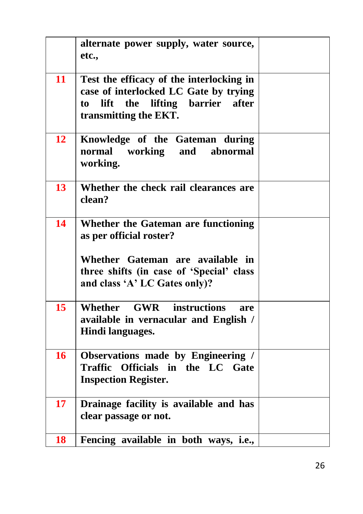|    | alternate power supply, water source,<br>etc.,                                                                                                                                  |  |
|----|---------------------------------------------------------------------------------------------------------------------------------------------------------------------------------|--|
| 11 | Test the efficacy of the interlocking in<br>case of interlocked LC Gate by trying<br>the<br>lifting barrier<br>lift<br>after<br>to<br>transmitting the EKT.                     |  |
| 12 | Knowledge of the Gateman during<br>normal working<br>and<br>abnormal<br>working.                                                                                                |  |
| 13 | Whether the check rail clearances are<br>clean?                                                                                                                                 |  |
| 14 | Whether the Gateman are functioning<br>as per official roster?<br>Whether Gateman are available in<br>three shifts (in case of 'Special' class<br>and class 'A' LC Gates only)? |  |
| 15 | <b>GWR</b><br>Whether<br><i>instructions</i><br>are<br>available in vernacular and English /<br>Hindi languages.                                                                |  |
| 16 | Observations made by Engineering /<br><b>Traffic</b><br>Officials in the LC Gate<br><b>Inspection Register.</b>                                                                 |  |
| 17 | Drainage facility is available and has<br>clear passage or not.                                                                                                                 |  |
| 18 | Fencing available in both ways, i.e.,                                                                                                                                           |  |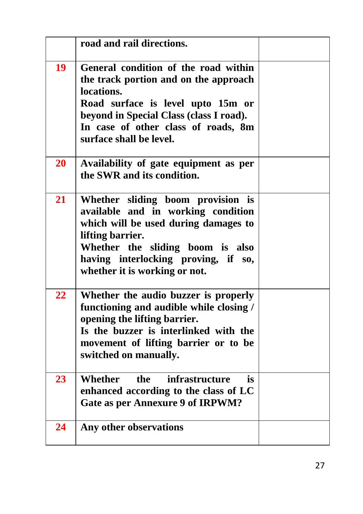|    | road and rail directions.                                                                                                                                                                                                                       |  |
|----|-------------------------------------------------------------------------------------------------------------------------------------------------------------------------------------------------------------------------------------------------|--|
| 19 | General condition of the road within<br>the track portion and on the approach<br>locations.<br>Road surface is level upto 15m or<br>beyond in Special Class (class I road).<br>In case of other class of roads, 8m<br>surface shall be level.   |  |
| 20 | Availability of gate equipment as per<br>the SWR and its condition.                                                                                                                                                                             |  |
| 21 | Whether sliding boom provision is<br>available and in working condition<br>which will be used during damages to<br>lifting barrier.<br>Whether the sliding boom is also<br>having interlocking proving, if so,<br>whether it is working or not. |  |
| 22 | Whether the audio buzzer is properly<br>functioning and audible while closing /<br>opening the lifting barrier.<br>Is the buzzer is interlinked with the<br>movement of lifting barrier or to be<br>switched on manually.                       |  |
| 23 | Whether<br>infrastructure<br>the<br>is<br>enhanced according to the class of LC<br><b>Gate as per Annexure 9 of IRPWM?</b>                                                                                                                      |  |
| 24 | Any other observations                                                                                                                                                                                                                          |  |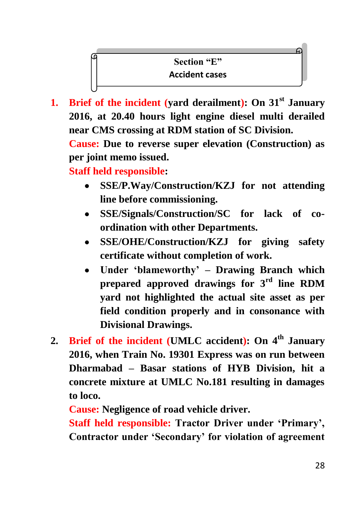# **Section "E" Accident cases**

**1. Brief of the incident (yard derailment): On 31st January 2016, at 20.40 hours light engine diesel multi derailed near CMS crossing at RDM station of SC Division.**

**Cause: Due to reverse super elevation (Construction) as per joint memo issued.**

**Staff held responsible:** 

- **SSE/P.Way/Construction/KZJ for not attending line before commissioning.**
- **SSE/Signals/Construction/SC for lack of coordination with other Departments.**
- **SSE/OHE/Construction/KZJ for giving safety certificate without completion of work.**
- **Under 'blameworthy' – Drawing Branch which**   $\bullet$ **prepared approved drawings for 3rd line RDM yard not highlighted the actual site asset as per field condition properly and in consonance with Divisional Drawings.**
- **2. Brief of the incident (UMLC accident): On 4th January 2016, when Train No. 19301 Express was on run between Dharmabad – Basar stations of HYB Division, hit a concrete mixture at UMLC No.181 resulting in damages to loco.**

**Cause: Negligence of road vehicle driver.**

**Staff held responsible: Tractor Driver under 'Primary', Contractor under 'Secondary' for violation of agreement**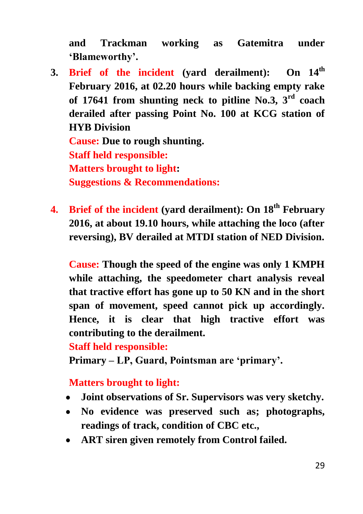**and Trackman working as Gatemitra under 'Blameworthy'.**

- **3. Brief of the incident (yard derailment): On 14th February 2016, at 02.20 hours while backing empty rake of 17641 from shunting neck to pitline No.3, 3rd coach derailed after passing Point No. 100 at KCG station of HYB Division Cause: Due to rough shunting. Staff held responsible: Matters brought to light: Suggestions & Recommendations:**
- **4. Brief of the incident (yard derailment): On 18th February 2016, at about 19.10 hours, while attaching the loco (after reversing), BV derailed at MTDI station of NED Division.**

**Cause: Though the speed of the engine was only 1 KMPH while attaching, the speedometer chart analysis reveal that tractive effort has gone up to 50 KN and in the short span of movement, speed cannot pick up accordingly. Hence, it is clear that high tractive effort was contributing to the derailment.**

#### **Staff held responsible:**

**Primary – LP, Guard, Pointsman are 'primary'.**

#### **Matters brought to light:**

- **Joint observations of Sr. Supervisors was very sketchy.**  $\bullet$
- **No evidence was preserved such as; photographs, readings of track, condition of CBC etc.,**
- **ART siren given remotely from Control failed.**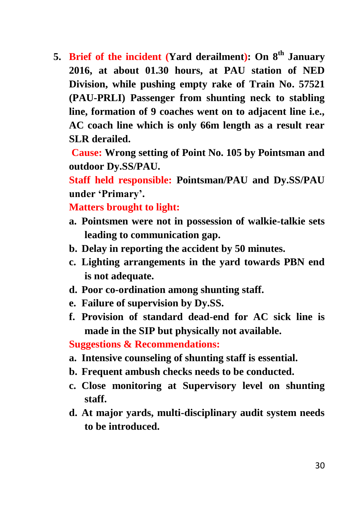**5. Brief of the incident (Yard derailment): On 8th January 2016, at about 01.30 hours, at PAU station of NED Division, while pushing empty rake of Train No. 57521 (PAU-PRLI) Passenger from shunting neck to stabling line, formation of 9 coaches went on to adjacent line i.e., AC coach line which is only 66m length as a result rear SLR derailed.**

**Cause: Wrong setting of Point No. 105 by Pointsman and outdoor Dy.SS/PAU.**

**Staff held responsible: Pointsman/PAU and Dy.SS/PAU under 'Primary'.**

**Matters brought to light:**

- **a. Pointsmen were not in possession of walkie-talkie sets leading to communication gap.**
- **b. Delay in reporting the accident by 50 minutes.**
- **c. Lighting arrangements in the yard towards PBN end is not adequate.**
- **d. Poor co-ordination among shunting staff.**
- **e. Failure of supervision by Dy.SS.**
- **f. Provision of standard dead-end for AC sick line is made in the SIP but physically not available.**

**Suggestions & Recommendations:**

- **a. Intensive counseling of shunting staff is essential.**
- **b. Frequent ambush checks needs to be conducted.**
- **c. Close monitoring at Supervisory level on shunting staff.**
- **d. At major yards, multi-disciplinary audit system needs to be introduced.**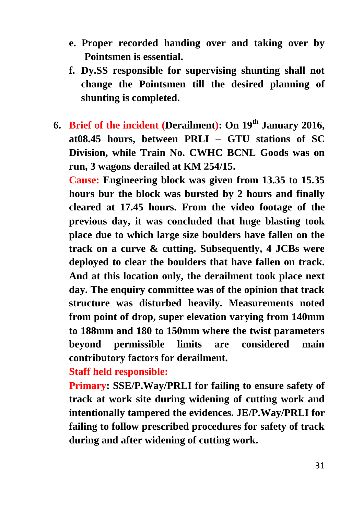- **e. Proper recorded handing over and taking over by Pointsmen is essential.**
- **f. Dy.SS responsible for supervising shunting shall not change the Pointsmen till the desired planning of shunting is completed.**
- **6. Brief of the incident (Derailment): On 19th January 2016, at08.45 hours, between PRLI – GTU stations of SC Division, while Train No. CWHC BCNL Goods was on run, 3 wagons derailed at KM 254/15.**

**Cause: Engineering block was given from 13.35 to 15.35 hours bur the block was bursted by 2 hours and finally cleared at 17.45 hours. From the video footage of the previous day, it was concluded that huge blasting took place due to which large size boulders have fallen on the track on a curve & cutting. Subsequently, 4 JCBs were deployed to clear the boulders that have fallen on track. And at this location only, the derailment took place next day. The enquiry committee was of the opinion that track structure was disturbed heavily. Measurements noted from point of drop, super elevation varying from 140mm to 188mm and 180 to 150mm where the twist parameters beyond permissible limits are considered main contributory factors for derailment.**

**Staff held responsible:**

**Primary: SSE/P.Way/PRLI for failing to ensure safety of track at work site during widening of cutting work and intentionally tampered the evidences. JE/P.Way/PRLI for failing to follow prescribed procedures for safety of track during and after widening of cutting work.**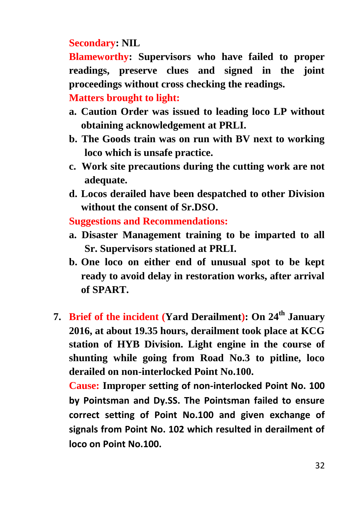## **Secondary: NIL**

**Blameworthy: Supervisors who have failed to proper readings, preserve clues and signed in the joint proceedings without cross checking the readings.**

### **Matters brought to light:**

- **a. Caution Order was issued to leading loco LP without obtaining acknowledgement at PRLI.**
- **b. The Goods train was on run with BV next to working loco which is unsafe practice.**
- **c. Work site precautions during the cutting work are not adequate.**
- **d. Locos derailed have been despatched to other Division without the consent of Sr.DSO.**

**Suggestions and Recommendations:**

- **a. Disaster Management training to be imparted to all Sr. Supervisors stationed at PRLI.**
- **b. One loco on either end of unusual spot to be kept ready to avoid delay in restoration works, after arrival of SPART.**
- **7. Brief of the incident (Yard Derailment): On 24th January 2016, at about 19.35 hours, derailment took place at KCG station of HYB Division. Light engine in the course of shunting while going from Road No.3 to pitline, loco derailed on non-interlocked Point No.100.**

**Cause: Improper setting of non-interlocked Point No. 100 by Pointsman and Dy.SS. The Pointsman failed to ensure correct setting of Point No.100 and given exchange of signals from Point No. 102 which resulted in derailment of loco on Point No.100.**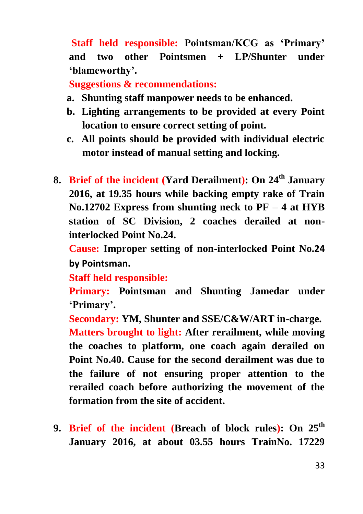**Staff held responsible: Pointsman/KCG as 'Primary' and two other Pointsmen + LP/Shunter under 'blameworthy'.**

**Suggestions & recommendations:**

- **a. Shunting staff manpower needs to be enhanced.**
- **b. Lighting arrangements to be provided at every Point location to ensure correct setting of point.**
- **c. All points should be provided with individual electric motor instead of manual setting and locking.**
- **8. Brief of the incident (Yard Derailment): On 24th January 2016, at 19.35 hours while backing empty rake of Train No.12702 Express from shunting neck to PF – 4 at HYB station of SC Division, 2 coaches derailed at noninterlocked Point No.24.**

**Cause: Improper setting of non-interlocked Point No.24 by Pointsman.**

**Staff held responsible:**

**Primary: Pointsman and Shunting Jamedar under 'Primary'.**

**Secondary: YM, Shunter and SSE/C&W/ART in-charge. Matters brought to light: After rerailment, while moving the coaches to platform, one coach again derailed on Point No.40. Cause for the second derailment was due to the failure of not ensuring proper attention to the rerailed coach before authorizing the movement of the formation from the site of accident.**

**9. Brief of the incident (Breach of block rules): On 25th January 2016, at about 03.55 hours TrainNo. 17229**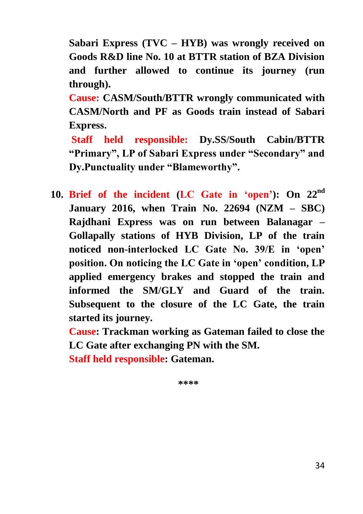**Sabari Express (TVC – HYB) was wrongly received on Goods R&D line No. 10 at BTTR station of BZA Division and further allowed to continue its journey (run through).** 

**Cause: CASM/South/BTTR wrongly communicated with CASM/North and PF as Goods train instead of Sabari Express.**

**Staff held responsible: Dy.SS/South Cabin/BTTR "Primary", LP of Sabari Express under "Secondary" and Dy.Punctuality under "Blameworthy".**

**10. Brief of the incident (LC Gate in 'open'): On 22nd January 2016, when Train No. 22694 (NZM – SBC) Rajdhani Express was on run between Balanagar – Gollapally stations of HYB Division, LP of the train noticed non-interlocked LC Gate No. 39/E in 'open' position. On noticing the LC Gate in 'open' condition, LP applied emergency brakes and stopped the train and informed the SM/GLY and Guard of the train. Subsequent to the closure of the LC Gate, the train started its journey.**

**Cause: Trackman working as Gateman failed to close the LC Gate after exchanging PN with the SM.**

**Staff held responsible: Gateman.**

**\*\*\*\***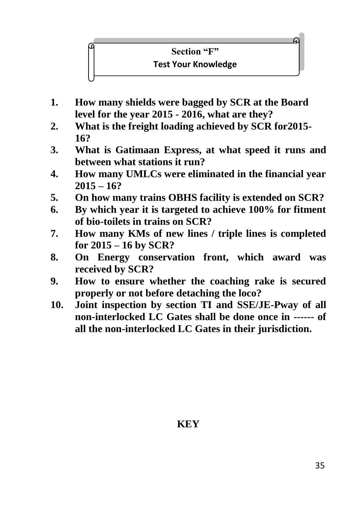# **Section "F"**

#### **Test Your Knowledge**

- **1. How many shields were bagged by SCR at the Board level for the year 2015 - 2016, what are they?**
- **2. What is the freight loading achieved by SCR for2015- 16?**
- **3. What is Gatimaan Express, at what speed it runs and between what stations it run?**
- **4. How many UMLCs were eliminated in the financial year 2015 – 16?**
- **5. On how many trains OBHS facility is extended on SCR?**
- **6. By which year it is targeted to achieve 100% for fitment of bio-toilets in trains on SCR?**
- **7. How many KMs of new lines / triple lines is completed for 2015 – 16 by SCR?**
- **8. On Energy conservation front, which award was received by SCR?**
- **9. How to ensure whether the coaching rake is secured properly or not before detaching the loco?**
- **10. Joint inspection by section TI and SSE/JE-Pway of all non-interlocked LC Gates shall be done once in ------ of all the non-interlocked LC Gates in their jurisdiction.**

#### **KEY**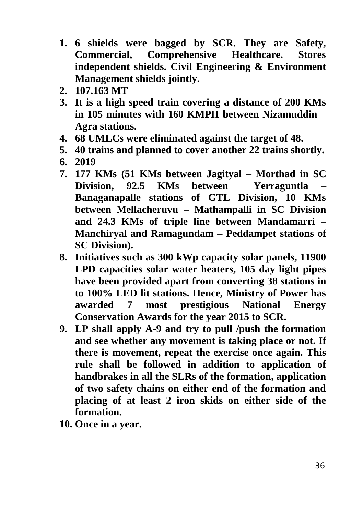- **1. 6 shields were bagged by SCR. They are Safety, Commercial, Comprehensive Healthcare. Stores independent shields. Civil Engineering & Environment Management shields jointly.**
- **2. 107.163 MT**
- **3. It is a high speed train covering a distance of 200 KMs in 105 minutes with 160 KMPH between Nizamuddin – Agra stations.**
- **4. 68 UMLCs were eliminated against the target of 48.**
- **5. 40 trains and planned to cover another 22 trains shortly.**
- **6. 2019**
- **7. 177 KMs (51 KMs between Jagityal – Morthad in SC Division, 92.5 KMs between Yerraguntla – Banaganapalle stations of GTL Division, 10 KMs between Mellacheruvu – Mathampalli in SC Division and 24.3 KMs of triple line between Mandamarri – Manchiryal and Ramagundam – Peddampet stations of SC Division).**
- **8. Initiatives such as 300 kWp capacity solar panels, 11900 LPD capacities solar water heaters, 105 day light pipes have been provided apart from converting 38 stations in to 100% LED lit stations. Hence, Ministry of Power has awarded 7 most prestigious National Energy Conservation Awards for the year 2015 to SCR.**
- **9. LP shall apply A-9 and try to pull /push the formation and see whether any movement is taking place or not. If there is movement, repeat the exercise once again. This rule shall be followed in addition to application of handbrakes in all the SLRs of the formation, application of two safety chains on either end of the formation and placing of at least 2 iron skids on either side of the formation.**
- **10. Once in a year.**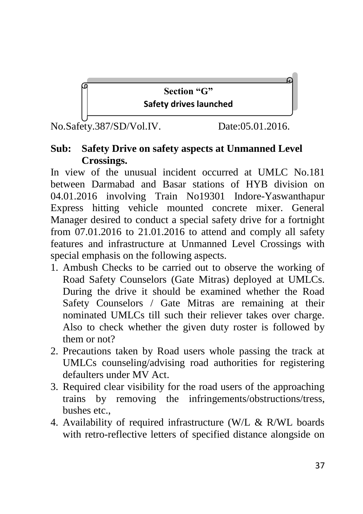# **Section "G" Safety drives launched**

No.Safety.387/SD/Vol.IV. Date:05.01.2016.

## **Sub: Safety Drive on safety aspects at Unmanned Level Crossings.**

In view of the unusual incident occurred at UMLC No.181 between Darmabad and Basar stations of HYB division on 04.01.2016 involving Train No19301 Indore-Yaswanthapur Express hitting vehicle mounted concrete mixer. General Manager desired to conduct a special safety drive for a fortnight from 07.01.2016 to 21.01.2016 to attend and comply all safety features and infrastructure at Unmanned Level Crossings with special emphasis on the following aspects.

- 1. Ambush Checks to be carried out to observe the working of Road Safety Counselors (Gate Mitras) deployed at UMLCs. During the drive it should be examined whether the Road Safety Counselors / Gate Mitras are remaining at their nominated UMLCs till such their reliever takes over charge. Also to check whether the given duty roster is followed by them or not?
- 2. Precautions taken by Road users whole passing the track at UMLCs counseling/advising road authorities for registering defaulters under MV Act.
- 3. Required clear visibility for the road users of the approaching trains by removing the infringements/obstructions/tress, bushes etc.,
- 4. Availability of required infrastructure (W/L & R/WL boards with retro-reflective letters of specified distance alongside on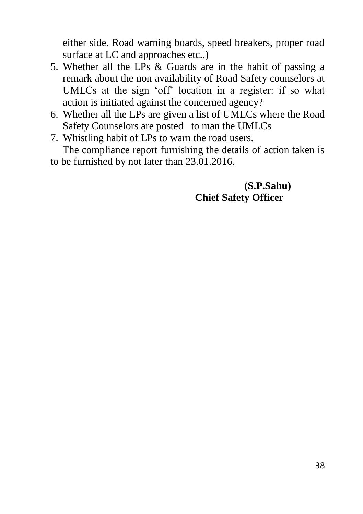either side. Road warning boards, speed breakers, proper road surface at LC and approaches etc.,)

- 5. Whether all the LPs & Guards are in the habit of passing a remark about the non availability of Road Safety counselors at UMLCs at the sign 'off' location in a register: if so what action is initiated against the concerned agency?
- 6. Whether all the LPs are given a list of UMLCs where the Road Safety Counselors are posted to man the UMLCs
- 7. Whistling habit of LPs to warn the road users.

The compliance report furnishing the details of action taken is to be furnished by not later than 23.01.2016.

# **(S.P.Sahu) Chief Safety Officer**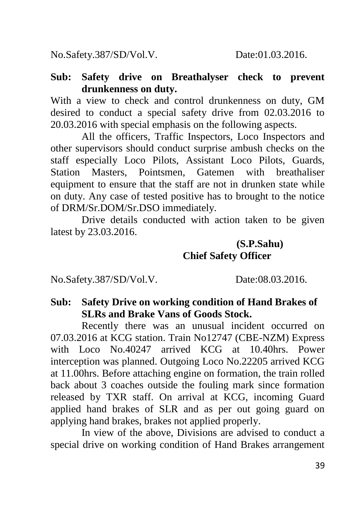No.Safety.387/SD/Vol.V. Date:01.03.2016.

#### **Sub: Safety drive on Breathalyser check to prevent drunkenness on duty.**

With a view to check and control drunkenness on duty, GM desired to conduct a special safety drive from 02.03.2016 to 20.03.2016 with special emphasis on the following aspects.

All the officers, Traffic Inspectors, Loco Inspectors and other supervisors should conduct surprise ambush checks on the staff especially Loco Pilots, Assistant Loco Pilots, Guards, Station Masters, Pointsmen, Gatemen with breathaliser equipment to ensure that the staff are not in drunken state while on duty. Any case of tested positive has to brought to the notice of DRM/Sr.DOM/Sr.DSO immediately.

Drive details conducted with action taken to be given latest by 23.03.2016.

# **(S.P.Sahu) Chief Safety Officer**

No.Safety.387/SD/Vol.V. Date:08.03.2016.

## **Sub: Safety Drive on working condition of Hand Brakes of SLRs and Brake Vans of Goods Stock.**

Recently there was an unusual incident occurred on 07.03.2016 at KCG station. Train No12747 (CBE-NZM) Express with Loco No.40247 arrived KCG at 10.40hrs. Power interception was planned. Outgoing Loco No.22205 arrived KCG at 11.00hrs. Before attaching engine on formation, the train rolled back about 3 coaches outside the fouling mark since formation released by TXR staff. On arrival at KCG, incoming Guard applied hand brakes of SLR and as per out going guard on applying hand brakes, brakes not applied properly.

In view of the above, Divisions are advised to conduct a special drive on working condition of Hand Brakes arrangement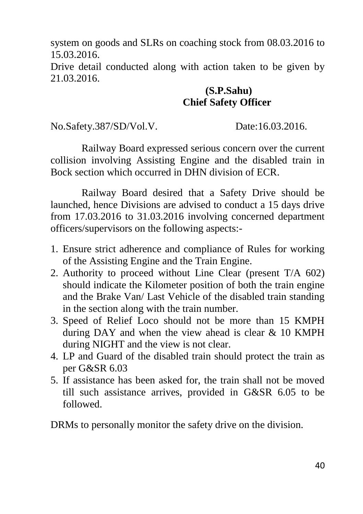system on goods and SLRs on coaching stock from 08.03.2016 to 15.03.2016.

Drive detail conducted along with action taken to be given by 21.03.2016.

## **(S.P.Sahu) Chief Safety Officer**

No.Safety.387/SD/Vol.V. Date:16.03.2016.

Railway Board expressed serious concern over the current collision involving Assisting Engine and the disabled train in Bock section which occurred in DHN division of ECR.

Railway Board desired that a Safety Drive should be launched, hence Divisions are advised to conduct a 15 days drive from 17.03.2016 to 31.03.2016 involving concerned department officers/supervisors on the following aspects:-

- 1. Ensure strict adherence and compliance of Rules for working of the Assisting Engine and the Train Engine.
- 2. Authority to proceed without Line Clear (present T/A 602) should indicate the Kilometer position of both the train engine and the Brake Van/ Last Vehicle of the disabled train standing in the section along with the train number.
- 3. Speed of Relief Loco should not be more than 15 KMPH during DAY and when the view ahead is clear & 10 KMPH during NIGHT and the view is not clear.
- 4. LP and Guard of the disabled train should protect the train as per G&SR 6.03
- 5. If assistance has been asked for, the train shall not be moved till such assistance arrives, provided in G&SR 6.05 to be followed.

DRMs to personally monitor the safety drive on the division.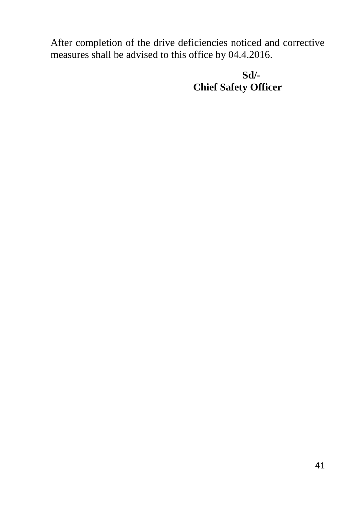After completion of the drive deficiencies noticed and corrective measures shall be advised to this office by 04.4.2016.

 **Sd/- Chief Safety Officer**